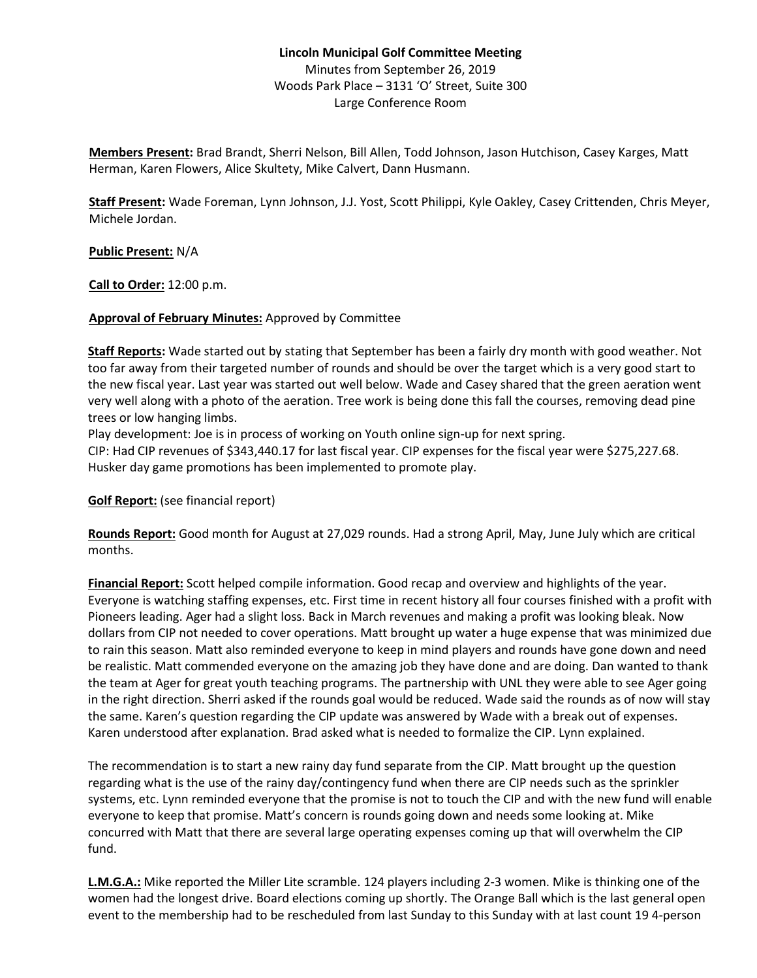## **Lincoln Municipal Golf Committee Meeting** Minutes from September 26, 2019 Woods Park Place – 3131 'O' Street, Suite 300 Large Conference Room

**Members Present:** Brad Brandt, Sherri Nelson, Bill Allen, Todd Johnson, Jason Hutchison, Casey Karges, Matt Herman, Karen Flowers, Alice Skultety, Mike Calvert, Dann Husmann.

**Staff Present:** Wade Foreman, Lynn Johnson, J.J. Yost, Scott Philippi, Kyle Oakley, Casey Crittenden, Chris Meyer, Michele Jordan.

**Public Present:** N/A

**Call to Order:** 12:00 p.m.

## **Approval of February Minutes:** Approved by Committee

**Staff Reports:** Wade started out by stating that September has been a fairly dry month with good weather. Not too far away from their targeted number of rounds and should be over the target which is a very good start to the new fiscal year. Last year was started out well below. Wade and Casey shared that the green aeration went very well along with a photo of the aeration. Tree work is being done this fall the courses, removing dead pine trees or low hanging limbs.

Play development: Joe is in process of working on Youth online sign-up for next spring.

CIP: Had CIP revenues of \$343,440.17 for last fiscal year. CIP expenses for the fiscal year were \$275,227.68. Husker day game promotions has been implemented to promote play.

**Golf Report:** (see financial report)

**Rounds Report:** Good month for August at 27,029 rounds. Had a strong April, May, June July which are critical months.

**Financial Report:** Scott helped compile information. Good recap and overview and highlights of the year. Everyone is watching staffing expenses, etc. First time in recent history all four courses finished with a profit with Pioneers leading. Ager had a slight loss. Back in March revenues and making a profit was looking bleak. Now dollars from CIP not needed to cover operations. Matt brought up water a huge expense that was minimized due to rain this season. Matt also reminded everyone to keep in mind players and rounds have gone down and need be realistic. Matt commended everyone on the amazing job they have done and are doing. Dan wanted to thank the team at Ager for great youth teaching programs. The partnership with UNL they were able to see Ager going in the right direction. Sherri asked if the rounds goal would be reduced. Wade said the rounds as of now will stay the same. Karen's question regarding the CIP update was answered by Wade with a break out of expenses. Karen understood after explanation. Brad asked what is needed to formalize the CIP. Lynn explained.

The recommendation is to start a new rainy day fund separate from the CIP. Matt brought up the question regarding what is the use of the rainy day/contingency fund when there are CIP needs such as the sprinkler systems, etc. Lynn reminded everyone that the promise is not to touch the CIP and with the new fund will enable everyone to keep that promise. Matt's concern is rounds going down and needs some looking at. Mike concurred with Matt that there are several large operating expenses coming up that will overwhelm the CIP fund.

**L.M.G.A.:** Mike reported the Miller Lite scramble. 124 players including 2-3 women. Mike is thinking one of the women had the longest drive. Board elections coming up shortly. The Orange Ball which is the last general open event to the membership had to be rescheduled from last Sunday to this Sunday with at last count 19 4-person